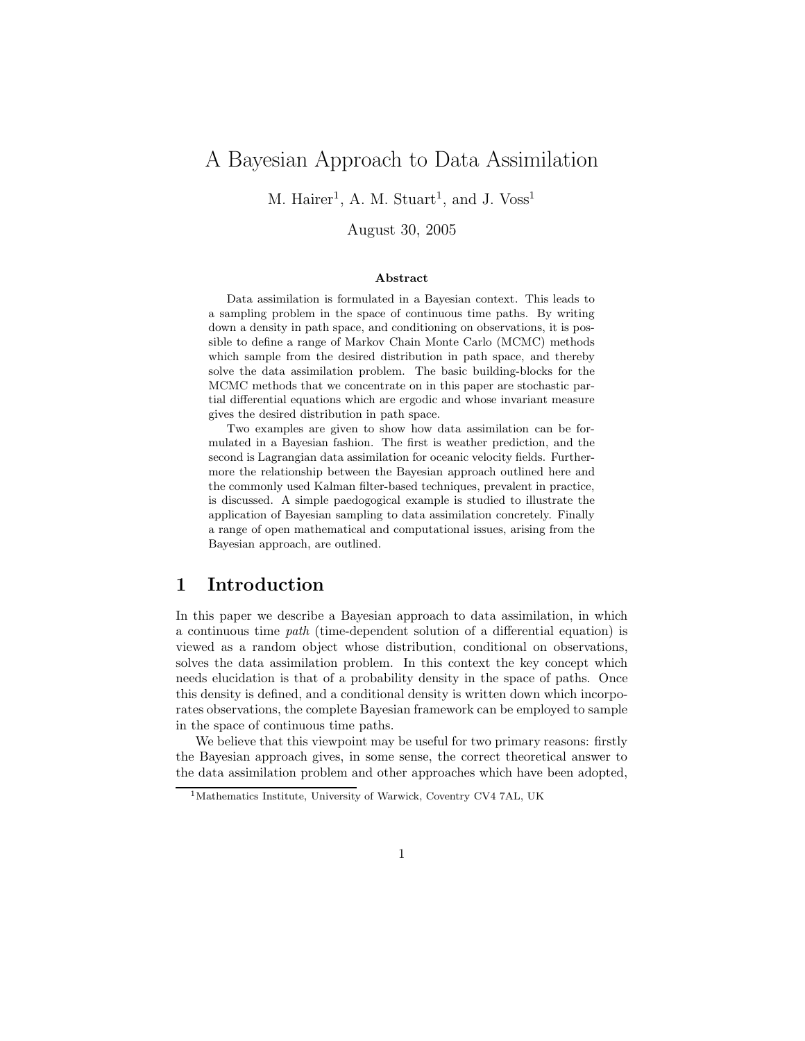# A Bayesian Approach to Data Assimilation

M. Hairer<sup>1</sup>, A. M. Stuart<sup>1</sup>, and J.  $V$ oss<sup>1</sup>

August 30, 2005

#### Abstract

Data assimilation is formulated in a Bayesian context. This leads to a sampling problem in the space of continuous time paths. By writing down a density in path space, and conditioning on observations, it is possible to define a range of Markov Chain Monte Carlo (MCMC) methods which sample from the desired distribution in path space, and thereby solve the data assimilation problem. The basic building-blocks for the MCMC methods that we concentrate on in this paper are stochastic partial differential equations which are ergodic and whose invariant measure gives the desired distribution in path space.

Two examples are given to show how data assimilation can be formulated in a Bayesian fashion. The first is weather prediction, and the second is Lagrangian data assimilation for oceanic velocity fields. Furthermore the relationship between the Bayesian approach outlined here and the commonly used Kalman filter-based techniques, prevalent in practice, is discussed. A simple paedogogical example is studied to illustrate the application of Bayesian sampling to data assimilation concretely. Finally a range of open mathematical and computational issues, arising from the Bayesian approach, are outlined.

# 1 Introduction

In this paper we describe a Bayesian approach to data assimilation, in which a continuous time path (time-dependent solution of a differential equation) is viewed as a random object whose distribution, conditional on observations, solves the data assimilation problem. In this context the key concept which needs elucidation is that of a probability density in the space of paths. Once this density is defined, and a conditional density is written down which incorporates observations, the complete Bayesian framework can be employed to sample in the space of continuous time paths.

We believe that this viewpoint may be useful for two primary reasons: firstly the Bayesian approach gives, in some sense, the correct theoretical answer to the data assimilation problem and other approaches which have been adopted,

<sup>1</sup>Mathematics Institute, University of Warwick, Coventry CV4 7AL, UK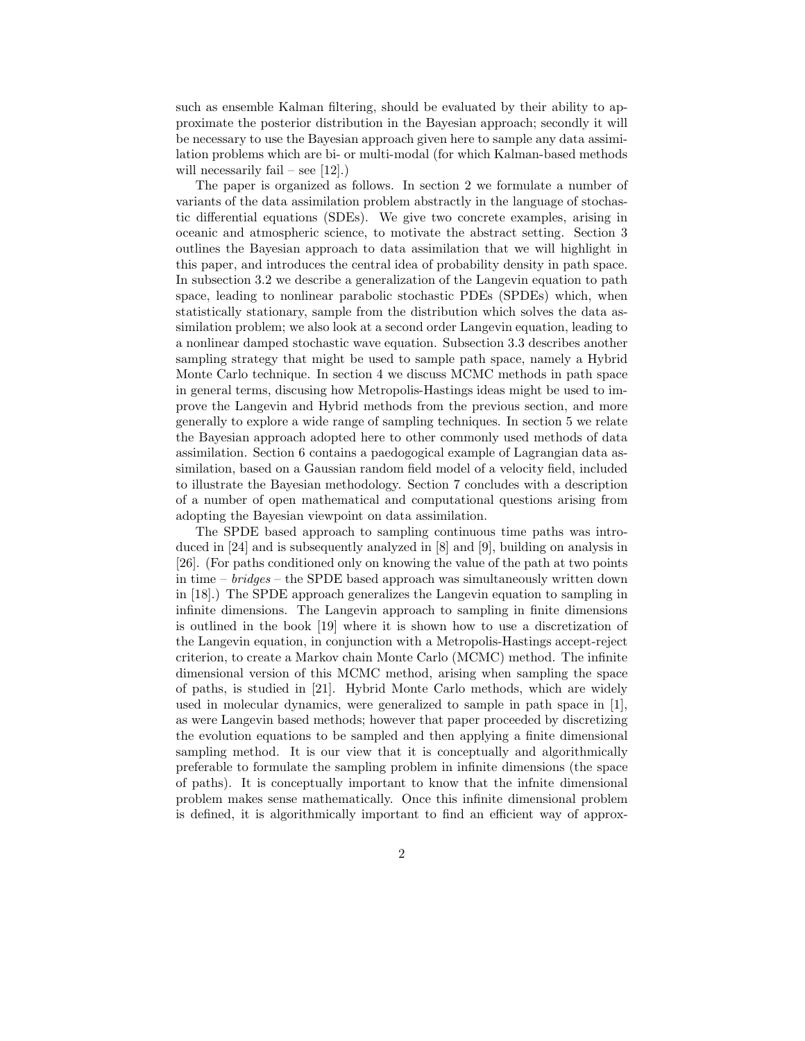such as ensemble Kalman filtering, should be evaluated by their ability to approximate the posterior distribution in the Bayesian approach; secondly it will be necessary to use the Bayesian approach given here to sample any data assimilation problems which are bi- or multi-modal (for which Kalman-based methods will necessarily fail – see  $[12]$ .)

The paper is organized as follows. In section 2 we formulate a number of variants of the data assimilation problem abstractly in the language of stochastic differential equations (SDEs). We give two concrete examples, arising in oceanic and atmospheric science, to motivate the abstract setting. Section 3 outlines the Bayesian approach to data assimilation that we will highlight in this paper, and introduces the central idea of probability density in path space. In subsection 3.2 we describe a generalization of the Langevin equation to path space, leading to nonlinear parabolic stochastic PDEs (SPDEs) which, when statistically stationary, sample from the distribution which solves the data assimilation problem; we also look at a second order Langevin equation, leading to a nonlinear damped stochastic wave equation. Subsection 3.3 describes another sampling strategy that might be used to sample path space, namely a Hybrid Monte Carlo technique. In section 4 we discuss MCMC methods in path space in general terms, discusing how Metropolis-Hastings ideas might be used to improve the Langevin and Hybrid methods from the previous section, and more generally to explore a wide range of sampling techniques. In section 5 we relate the Bayesian approach adopted here to other commonly used methods of data assimilation. Section 6 contains a paedogogical example of Lagrangian data assimilation, based on a Gaussian random field model of a velocity field, included to illustrate the Bayesian methodology. Section 7 concludes with a description of a number of open mathematical and computational questions arising from adopting the Bayesian viewpoint on data assimilation.

The SPDE based approach to sampling continuous time paths was introduced in [24] and is subsequently analyzed in [8] and [9], building on analysis in [26]. (For paths conditioned only on knowing the value of the path at two points in time – bridges – the SPDE based approach was simultaneously written down in [18].) The SPDE approach generalizes the Langevin equation to sampling in infinite dimensions. The Langevin approach to sampling in finite dimensions is outlined in the book [19] where it is shown how to use a discretization of the Langevin equation, in conjunction with a Metropolis-Hastings accept-reject criterion, to create a Markov chain Monte Carlo (MCMC) method. The infinite dimensional version of this MCMC method, arising when sampling the space of paths, is studied in [21]. Hybrid Monte Carlo methods, which are widely used in molecular dynamics, were generalized to sample in path space in [1], as were Langevin based methods; however that paper proceeded by discretizing the evolution equations to be sampled and then applying a finite dimensional sampling method. It is our view that it is conceptually and algorithmically preferable to formulate the sampling problem in infinite dimensions (the space of paths). It is conceptually important to know that the infnite dimensional problem makes sense mathematically. Once this infinite dimensional problem is defined, it is algorithmically important to find an efficient way of approx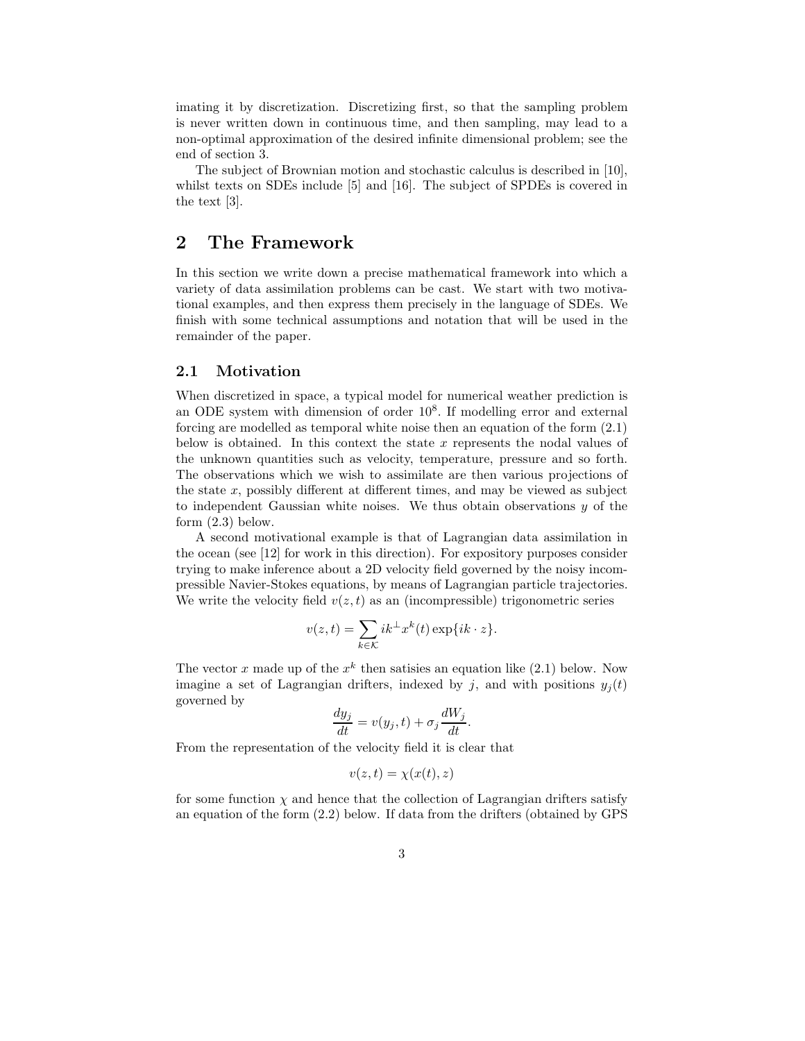imating it by discretization. Discretizing first, so that the sampling problem is never written down in continuous time, and then sampling, may lead to a non-optimal approximation of the desired infinite dimensional problem; see the end of section 3.

The subject of Brownian motion and stochastic calculus is described in [10], whilst texts on SDEs include [5] and [16]. The subject of SPDEs is covered in the text [3].

# 2 The Framework

In this section we write down a precise mathematical framework into which a variety of data assimilation problems can be cast. We start with two motivational examples, and then express them precisely in the language of SDEs. We finish with some technical assumptions and notation that will be used in the remainder of the paper.

### 2.1 Motivation

When discretized in space, a typical model for numerical weather prediction is an ODE system with dimension of order 10<sup>8</sup>. If modelling error and external forcing are modelled as temporal white noise then an equation of the form (2.1) below is obtained. In this context the state x represents the nodal values of the unknown quantities such as velocity, temperature, pressure and so forth. The observations which we wish to assimilate are then various projections of the state  $x$ , possibly different at different times, and may be viewed as subject to independent Gaussian white noises. We thus obtain observations  $y$  of the form (2.3) below.

A second motivational example is that of Lagrangian data assimilation in the ocean (see [12] for work in this direction). For expository purposes consider trying to make inference about a 2D velocity field governed by the noisy incompressible Navier-Stokes equations, by means of Lagrangian particle trajectories. We write the velocity field  $v(z,t)$  as an (incompressible) trigonometric series

$$
v(z,t) = \sum_{k \in \mathcal{K}} ik^{\perp} x^{k}(t) \exp\{ik \cdot z\}.
$$

The vector x made up of the  $x^k$  then satisies an equation like (2.1) below. Now imagine a set of Lagrangian drifters, indexed by j, and with positions  $y_j(t)$ governed by

$$
\frac{dy_j}{dt} = v(y_j, t) + \sigma_j \frac{dW_j}{dt}.
$$

From the representation of the velocity field it is clear that

$$
v(z,t) = \chi(x(t),z)
$$

for some function  $\chi$  and hence that the collection of Lagrangian drifters satisfy an equation of the form (2.2) below. If data from the drifters (obtained by GPS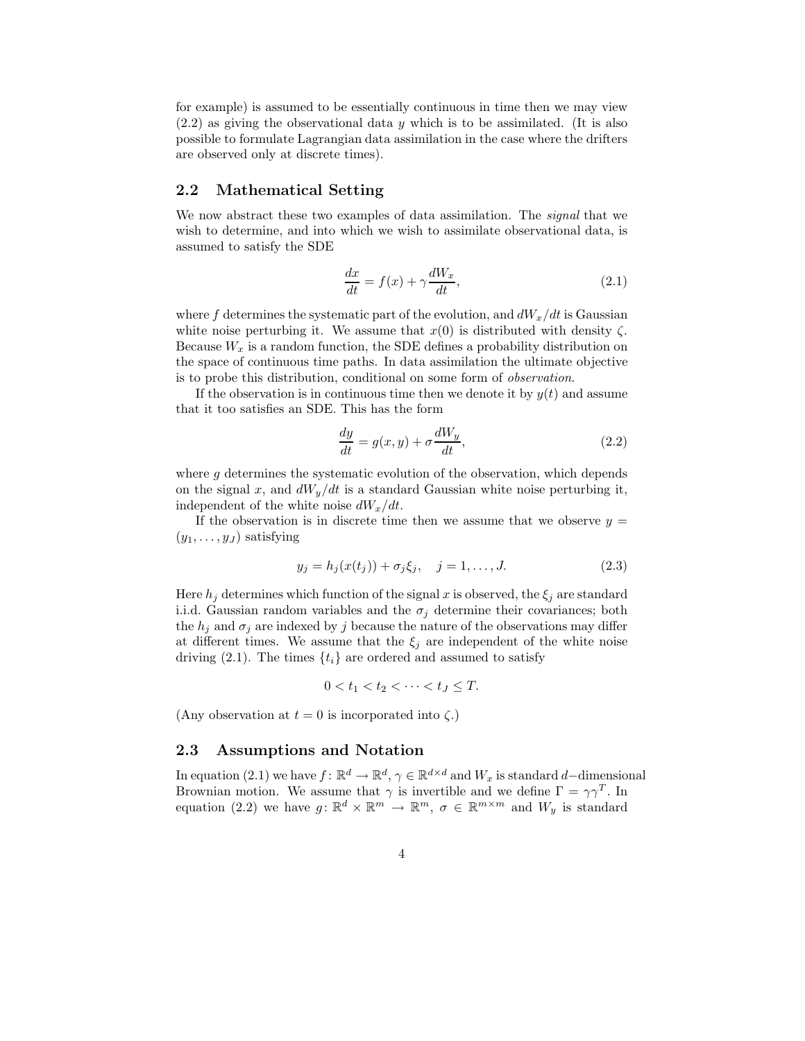for example) is assumed to be essentially continuous in time then we may view  $(2.2)$  as giving the observational data y which is to be assimilated. (It is also possible to formulate Lagrangian data assimilation in the case where the drifters are observed only at discrete times).

#### 2.2 Mathematical Setting

We now abstract these two examples of data assimilation. The signal that we wish to determine, and into which we wish to assimilate observational data, is assumed to satisfy the SDE

$$
\frac{dx}{dt} = f(x) + \gamma \frac{dW_x}{dt},\tag{2.1}
$$

where f determines the systematic part of the evolution, and  $dW_x/dt$  is Gaussian white noise perturbing it. We assume that  $x(0)$  is distributed with density  $\zeta$ . Because  $W_x$  is a random function, the SDE defines a probability distribution on the space of continuous time paths. In data assimilation the ultimate objective is to probe this distribution, conditional on some form of observation.

If the observation is in continuous time then we denote it by  $y(t)$  and assume that it too satisfies an SDE. This has the form

$$
\frac{dy}{dt} = g(x, y) + \sigma \frac{dW_y}{dt},\tag{2.2}
$$

where g determines the systematic evolution of the observation, which depends on the signal x, and  $dW_y/dt$  is a standard Gaussian white noise perturbing it, independent of the white noise  $dW_x/dt$ .

If the observation is in discrete time then we assume that we observe  $y =$  $(y_1, \ldots, y_J)$  satisfying

$$
y_j = h_j(x(t_j)) + \sigma_j \xi_j, \quad j = 1, ..., J.
$$
 (2.3)

Here  $h_j$  determines which function of the signal x is observed, the  $\xi_j$  are standard i.i.d. Gaussian random variables and the  $\sigma_j$  determine their covariances; both the  $h_j$  and  $\sigma_j$  are indexed by j because the nature of the observations may differ at different times. We assume that the  $\xi_j$  are independent of the white noise driving (2.1). The times  $\{t_i\}$  are ordered and assumed to satisfy

$$
0
$$

(Any observation at  $t = 0$  is incorporated into  $\zeta$ .)

### 2.3 Assumptions and Notation

In equation (2.1) we have  $f: \mathbb{R}^d \to \mathbb{R}^d$ ,  $\gamma \in \mathbb{R}^{d \times d}$  and  $W_x$  is standard d–dimensional Brownian motion. We assume that  $\gamma$  is invertible and we define  $\Gamma = \gamma \gamma^T$ . In equation (2.2) we have  $g: \mathbb{R}^d \times \mathbb{R}^m \to \mathbb{R}^m$ ,  $\sigma \in \mathbb{R}^{m \times m}$  and  $W_y$  is standard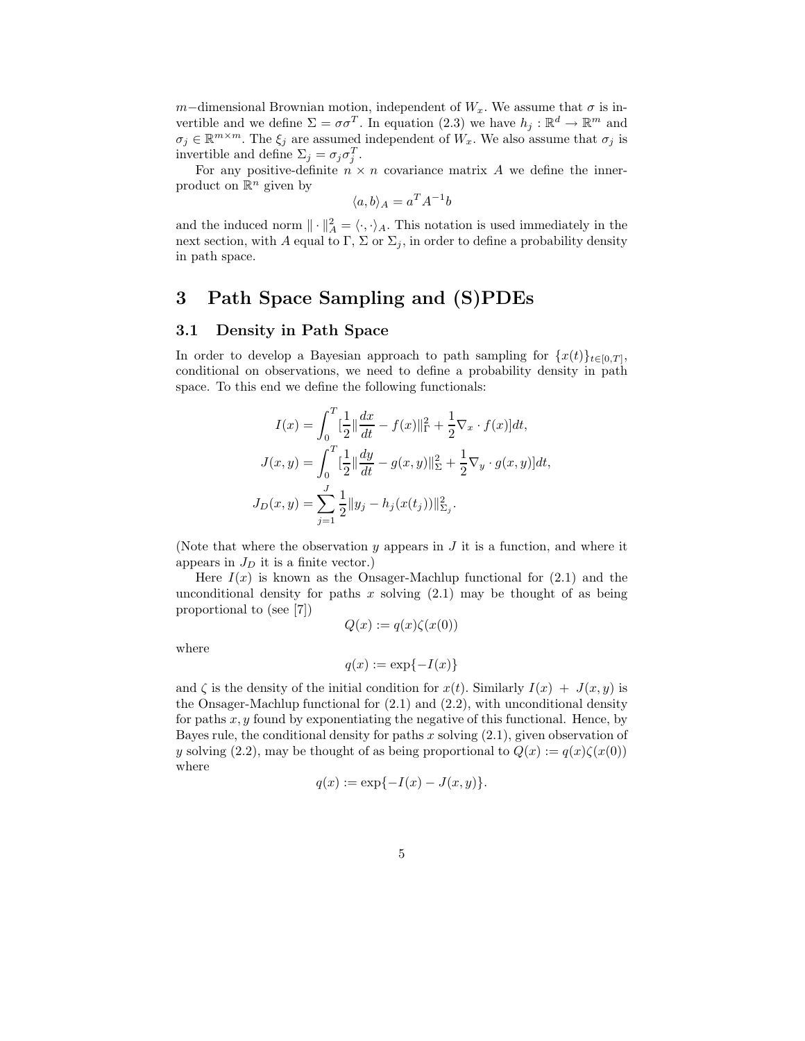m–dimensional Brownian motion, independent of  $W_x$ . We assume that  $\sigma$  is invertible and we define  $\Sigma = \sigma \sigma^T$ . In equation (2.3) we have  $h_j : \mathbb{R}^d \to \mathbb{R}^m$  and  $\sigma_j \in \mathbb{R}^{m \times m}$ . The  $\xi_j$  are assumed independent of  $W_x$ . We also assume that  $\sigma_j$  is invertible and define  $\Sigma_j = \sigma_j \sigma_j^T$ .

For any positive-definite  $n \times n$  covariance matrix A we define the innerproduct on  $\mathbb{R}^n$  given by

$$
\langle a, b \rangle_A = a^T A^{-1} b
$$

and the induced norm  $\|\cdot\|_A^2 = \langle \cdot, \cdot \rangle_A$ . This notation is used immediately in the next section, with A equal to Γ, Σ or  $\Sigma_j$ , in order to define a probability density in path space.

# 3 Path Space Sampling and (S)PDEs

### 3.1 Density in Path Space

In order to develop a Bayesian approach to path sampling for  $\{x(t)\}_{t\in[0,T]},$ conditional on observations, we need to define a probability density in path space. To this end we define the following functionals:

$$
I(x) = \int_0^T \left[\frac{1}{2}\right] \frac{dx}{dt} - f(x)\|_{\Gamma}^2 + \frac{1}{2}\nabla_x \cdot f(x)\,dt,
$$
  

$$
J(x, y) = \int_0^T \left[\frac{1}{2}\right] \frac{dy}{dt} - g(x, y)\|_{\Sigma}^2 + \frac{1}{2}\nabla_y \cdot g(x, y)\,dt,
$$
  

$$
J_D(x, y) = \sum_{j=1}^J \frac{1}{2} \|y_j - h_j(x(t_j))\|_{\Sigma_j}^2.
$$

(Note that where the observation  $y$  appears in  $J$  it is a function, and where it appears in  $J_D$  it is a finite vector.)

Here  $I(x)$  is known as the Onsager-Machlup functional for  $(2.1)$  and the unconditional density for paths  $x$  solving  $(2.1)$  may be thought of as being proportional to (see [7])  $Q(x) := q(x)\zeta(x(0))$ 

$$
\quad \text{where} \quad
$$

$$
f_{\rm{max}}(x)
$$

$$
q(x) := \exp\{-I(x)\}
$$

and  $\zeta$  is the density of the initial condition for  $x(t)$ . Similarly  $I(x) + J(x, y)$  is the Onsager-Machlup functional for (2.1) and (2.2), with unconditional density for paths  $x, y$  found by exponentiating the negative of this functional. Hence, by Bayes rule, the conditional density for paths x solving  $(2.1)$ , given observation of y solving (2.2), may be thought of as being proportional to  $Q(x) := q(x)\zeta(x(0))$ where

$$
q(x) := \exp\{-I(x) - J(x, y)\}.
$$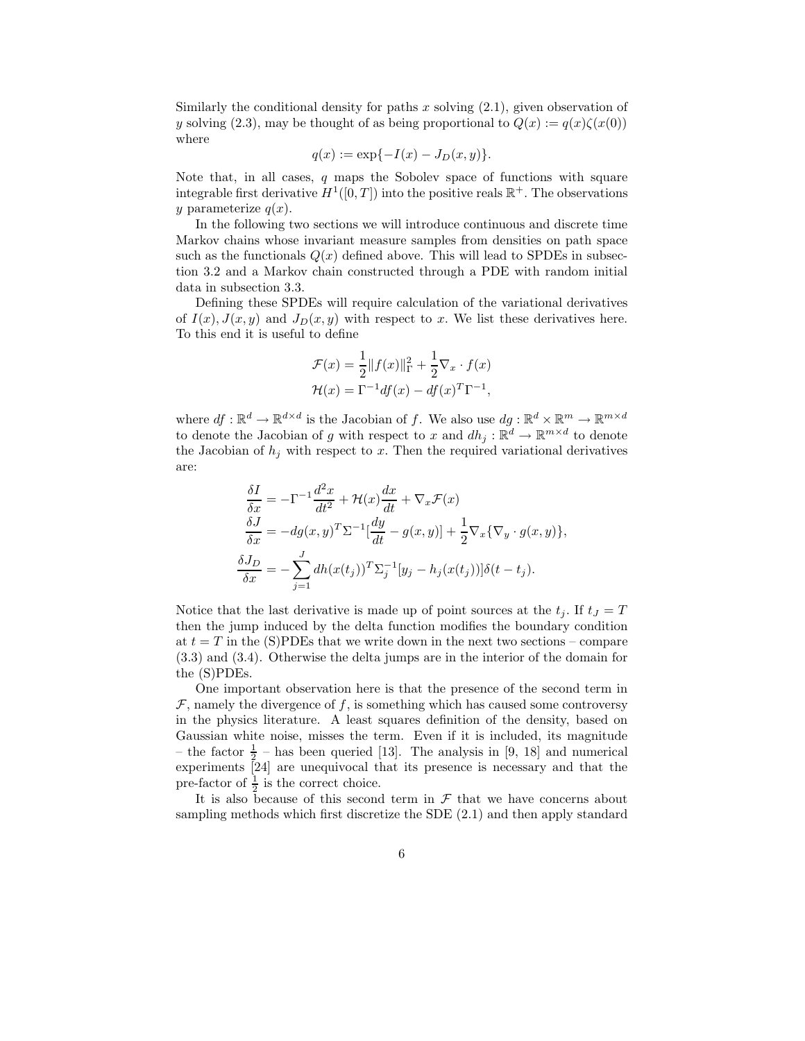Similarly the conditional density for paths x solving  $(2.1)$ , given observation of y solving (2.3), may be thought of as being proportional to  $Q(x) := q(x)\zeta(x(0))$ where

$$
q(x) := \exp\{-I(x) - J_D(x, y)\}.
$$

Note that, in all cases, q maps the Sobolev space of functions with square integrable first derivative  $H^1([0,T])$  into the positive reals  $\mathbb{R}^+$ . The observations y parameterize  $q(x)$ .

In the following two sections we will introduce continuous and discrete time Markov chains whose invariant measure samples from densities on path space such as the functionals  $Q(x)$  defined above. This will lead to SPDEs in subsection 3.2 and a Markov chain constructed through a PDE with random initial data in subsection 3.3.

Defining these SPDEs will require calculation of the variational derivatives of  $I(x)$ ,  $J(x, y)$  and  $J_D(x, y)$  with respect to x. We list these derivatives here. To this end it is useful to define

$$
\mathcal{F}(x) = \frac{1}{2} ||f(x)||_{\Gamma}^2 + \frac{1}{2} \nabla_x \cdot f(x)
$$

$$
\mathcal{H}(x) = \Gamma^{-1} df(x) - df(x)^T \Gamma^{-1},
$$

where  $df: \mathbb{R}^d \to \mathbb{R}^{d \times d}$  is the Jacobian of f. We also use  $dg: \mathbb{R}^d \times \mathbb{R}^m \to \mathbb{R}^{m \times d}$ to denote the Jacobian of g with respect to x and  $dh_i : \mathbb{R}^d \to \mathbb{R}^{m \times d}$  to denote the Jacobian of  $h_j$  with respect to x. Then the required variational derivatives are:

$$
\frac{\delta I}{\delta x} = -\Gamma^{-1} \frac{d^2 x}{dt^2} + \mathcal{H}(x) \frac{dx}{dt} + \nabla_x \mathcal{F}(x)
$$
\n
$$
\frac{\delta J}{\delta x} = -dg(x, y)^T \Sigma^{-1} \left[ \frac{dy}{dt} - g(x, y) \right] + \frac{1}{2} \nabla_x \{ \nabla_y \cdot g(x, y) \},
$$
\n
$$
\frac{\delta J_D}{\delta x} = -\sum_{j=1}^J dh(x(t_j))^T \Sigma_j^{-1} [y_j - h_j(x(t_j))] \delta(t - t_j).
$$

Notice that the last derivative is made up of point sources at the  $t_j$ . If  $t_j = T$ then the jump induced by the delta function modifies the boundary condition at  $t = T$  in the (S)PDEs that we write down in the next two sections – compare (3.3) and (3.4). Otherwise the delta jumps are in the interior of the domain for the (S)PDEs.

One important observation here is that the presence of the second term in  $\mathcal F$ , namely the divergence of f, is something which has caused some controversy in the physics literature. A least squares definition of the density, based on Gaussian white noise, misses the term. Even if it is included, its magnitude – the factor  $\frac{1}{2}$  – has been queried [13]. The analysis in [9, 18] and numerical experiments [24] are unequivocal that its presence is necessary and that the pre-factor of  $\frac{1}{2}$  is the correct choice.

It is also because of this second term in  $\mathcal F$  that we have concerns about sampling methods which first discretize the SDE (2.1) and then apply standard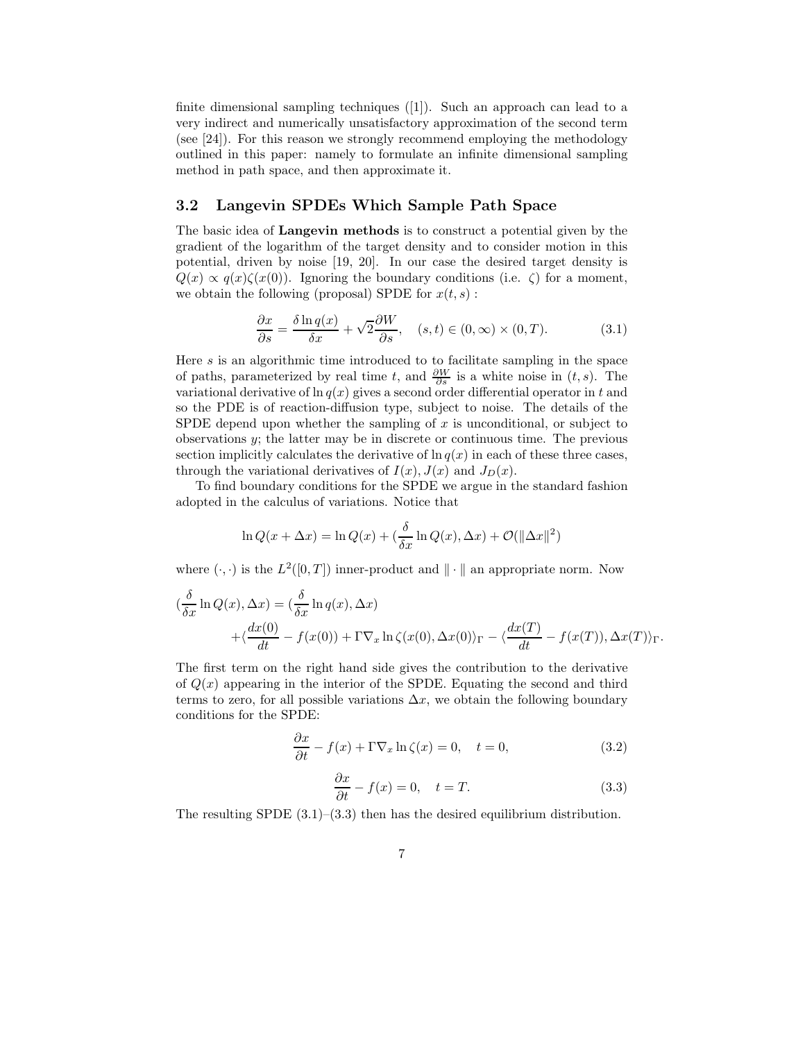finite dimensional sampling techniques ([1]). Such an approach can lead to a very indirect and numerically unsatisfactory approximation of the second term (see [24]). For this reason we strongly recommend employing the methodology outlined in this paper: namely to formulate an infinite dimensional sampling method in path space, and then approximate it.

## 3.2 Langevin SPDEs Which Sample Path Space

The basic idea of Langevin methods is to construct a potential given by the gradient of the logarithm of the target density and to consider motion in this potential, driven by noise [19, 20]. In our case the desired target density is  $Q(x) \propto q(x)\zeta(x(0))$ . Ignoring the boundary conditions (i.e.  $\zeta$ ) for a moment, we obtain the following (proposal) SPDE for  $x(t, s)$ :

$$
\frac{\partial x}{\partial s} = \frac{\delta \ln q(x)}{\delta x} + \sqrt{2} \frac{\partial W}{\partial s}, \quad (s, t) \in (0, \infty) \times (0, T). \tag{3.1}
$$

Here  $s$  is an algorithmic time introduced to to facilitate sampling in the space of paths, parameterized by real time t, and  $\frac{\partial W}{\partial s}$  is a white noise in  $(t, s)$ . The variational derivative of  $\ln q(x)$  gives a second order differential operator in t and so the PDE is of reaction-diffusion type, subject to noise. The details of the SPDE depend upon whether the sampling of  $x$  is unconditional, or subject to observations y; the latter may be in discrete or continuous time. The previous section implicitly calculates the derivative of  $\ln q(x)$  in each of these three cases, through the variational derivatives of  $I(x)$ ,  $J(x)$  and  $J_D(x)$ .

To find boundary conditions for the SPDE we argue in the standard fashion adopted in the calculus of variations. Notice that

$$
\ln Q(x + \Delta x) = \ln Q(x) + \left(\frac{\delta}{\delta x} \ln Q(x), \Delta x\right) + \mathcal{O}(\|\Delta x\|^2)
$$

where  $(\cdot, \cdot)$  is the  $L^2([0,T])$  inner-product and  $\|\cdot\|$  an appropriate norm. Now

$$
\begin{aligned} \left(\frac{\delta}{\delta x} \ln Q(x), \Delta x\right) &= \left(\frac{\delta}{\delta x} \ln q(x), \Delta x\right) \\ &+ \left(\frac{dx(0)}{dt} - f(x(0)) + \Gamma \nabla_x \ln \zeta(x(0), \Delta x(0)) \right) \Gamma - \left(\frac{dx(T)}{dt} - f(x(T)), \Delta x(T)\right) \Gamma. \end{aligned}
$$

The first term on the right hand side gives the contribution to the derivative of  $Q(x)$  appearing in the interior of the SPDE. Equating the second and third terms to zero, for all possible variations  $\Delta x$ , we obtain the following boundary conditions for the SPDE:

$$
\frac{\partial x}{\partial t} - f(x) + \Gamma \nabla_x \ln \zeta(x) = 0, \quad t = 0,
$$
\n(3.2)

$$
\frac{\partial x}{\partial t} - f(x) = 0, \quad t = T.
$$
\n(3.3)

The resulting SPDE  $(3.1)$ – $(3.3)$  then has the desired equilibrium distribution.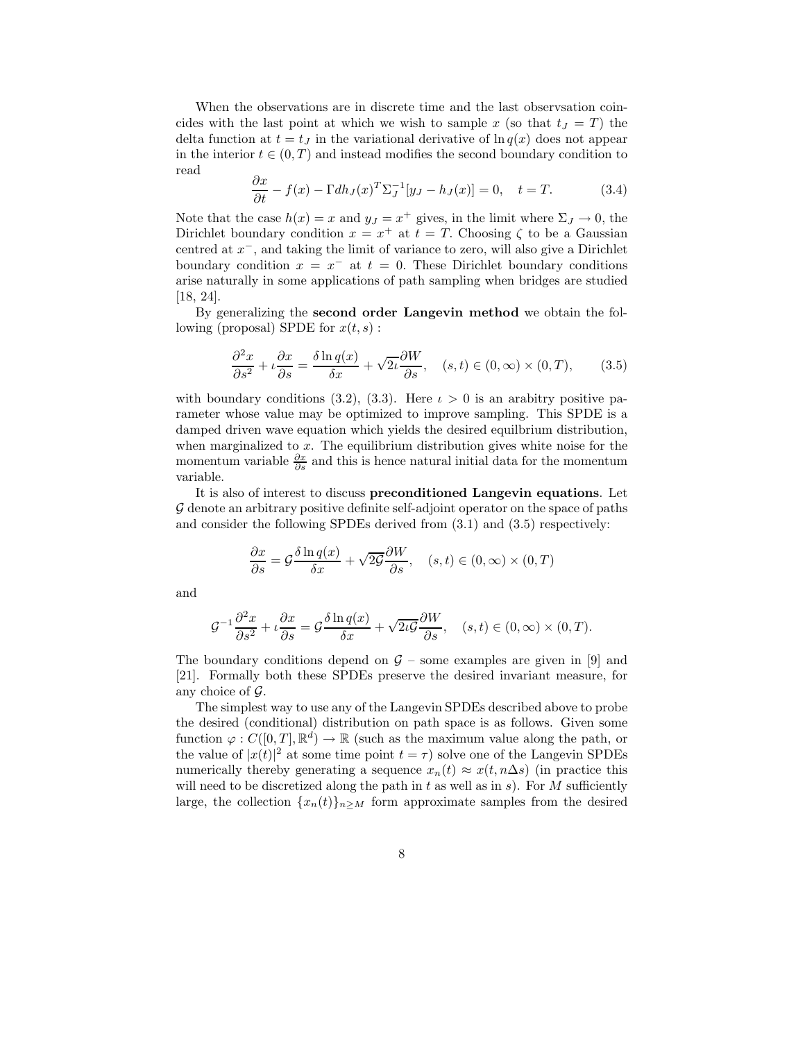When the observations are in discrete time and the last observsation coincides with the last point at which we wish to sample x (so that  $t<sub>J</sub> = T$ ) the delta function at  $t = t<sub>J</sub>$  in the variational derivative of  $\ln q(x)$  does not appear in the interior  $t \in (0, T)$  and instead modifies the second boundary condition to read

$$
\frac{\partial x}{\partial t} - f(x) - \Gamma dh_J(x)^T \Sigma_J^{-1} [y_J - h_J(x)] = 0, \quad t = T.
$$
 (3.4)

Note that the case  $h(x) = x$  and  $y<sub>J</sub> = x<sup>+</sup>$  gives, in the limit where  $\Sigma<sub>J</sub> \to 0$ , the Dirichlet boundary condition  $x = x^+$  at  $t = T$ . Choosing  $\zeta$  to be a Gaussian centred at x−, and taking the limit of variance to zero, will also give a Dirichlet boundary condition  $x = x^-$  at  $t = 0$ . These Dirichlet boundary conditions arise naturally in some applications of path sampling when bridges are studied [18, 24].

By generalizing the second order Langevin method we obtain the following (proposal) SPDE for  $x(t, s)$ :

$$
\frac{\partial^2 x}{\partial s^2} + \iota \frac{\partial x}{\partial s} = \frac{\delta \ln q(x)}{\delta x} + \sqrt{2\iota} \frac{\partial W}{\partial s}, \quad (s, t) \in (0, \infty) \times (0, T), \tag{3.5}
$$

with boundary conditions (3.2), (3.3). Here  $\iota > 0$  is an arabitry positive parameter whose value may be optimized to improve sampling. This SPDE is a damped driven wave equation which yields the desired equilbrium distribution, when marginalized to  $x$ . The equilibrium distribution gives white noise for the momentum variable  $\frac{\partial x}{\partial s}$  and this is hence natural initial data for the momentum variable.

It is also of interest to discuss preconditioned Langevin equations. Let G denote an arbitrary positive definite self-adjoint operator on the space of paths and consider the following SPDEs derived from (3.1) and (3.5) respectively:

$$
\frac{\partial x}{\partial s} = \mathcal{G} \frac{\delta \ln q(x)}{\delta x} + \sqrt{2\mathcal{G}} \frac{\partial W}{\partial s}, \quad (s, t) \in (0, \infty) \times (0, T)
$$

and

$$
\mathcal{G}^{-1}\frac{\partial^2 x}{\partial s^2} + \iota\frac{\partial x}{\partial s} = \mathcal{G}\frac{\delta \ln q(x)}{\delta x} + \sqrt{2\iota\mathcal{G}}\frac{\partial W}{\partial s}, \quad (s, t) \in (0, \infty) \times (0, T).
$$

The boundary conditions depend on  $\mathcal{G}$  – some examples are given in [9] and [21]. Formally both these SPDEs preserve the desired invariant measure, for any choice of  $\mathcal G$ .

The simplest way to use any of the Langevin SPDEs described above to probe the desired (conditional) distribution on path space is as follows. Given some function  $\varphi: C([0,T], \mathbb{R}^d) \to \mathbb{R}$  (such as the maximum value along the path, or the value of  $|x(t)|^2$  at some time point  $t = \tau$ ) solve one of the Langevin SPDEs numerically thereby generating a sequence  $x_n(t) \approx x(t, n\Delta s)$  (in practice this will need to be discretized along the path in  $t$  as well as in  $s$ ). For  $M$  sufficiently large, the collection  $\{x_n(t)\}_{n\geq M}$  form approximate samples from the desired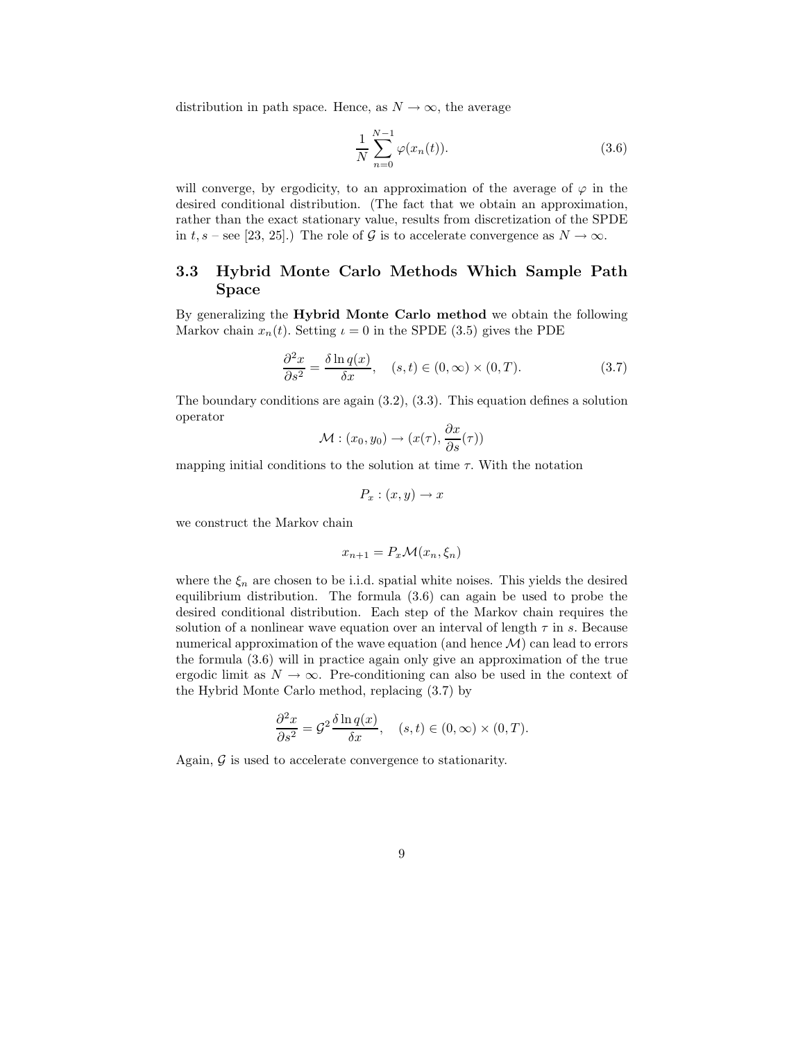distribution in path space. Hence, as  $N \to \infty$ , the average

$$
\frac{1}{N} \sum_{n=0}^{N-1} \varphi(x_n(t)).
$$
\n(3.6)

will converge, by ergodicity, to an approximation of the average of  $\varphi$  in the desired conditional distribution. (The fact that we obtain an approximation, rather than the exact stationary value, results from discretization of the SPDE in t, s – see [23, 25].) The role of G is to accelerate convergence as  $N \to \infty$ .

## 3.3 Hybrid Monte Carlo Methods Which Sample Path Space

By generalizing the Hybrid Monte Carlo method we obtain the following Markov chain  $x_n(t)$ . Setting  $\iota = 0$  in the SPDE (3.5) gives the PDE

$$
\frac{\partial^2 x}{\partial s^2} = \frac{\delta \ln q(x)}{\delta x}, \quad (s, t) \in (0, \infty) \times (0, T). \tag{3.7}
$$

The boundary conditions are again (3.2), (3.3). This equation defines a solution operator

$$
\mathcal{M} : (x_0, y_0) \to (x(\tau), \frac{\partial x}{\partial s}(\tau))
$$

mapping initial conditions to the solution at time  $\tau$ . With the notation

$$
P_x:(x,y)\to x
$$

we construct the Markov chain

$$
x_{n+1} = P_x \mathcal{M}(x_n, \xi_n)
$$

where the  $\xi_n$  are chosen to be i.i.d. spatial white noises. This yields the desired equilibrium distribution. The formula (3.6) can again be used to probe the desired conditional distribution. Each step of the Markov chain requires the solution of a nonlinear wave equation over an interval of length  $\tau$  in s. Because numerical approximation of the wave equation (and hence  $\mathcal{M}$ ) can lead to errors the formula (3.6) will in practice again only give an approximation of the true ergodic limit as  $N \to \infty$ . Pre-conditioning can also be used in the context of the Hybrid Monte Carlo method, replacing (3.7) by

$$
\frac{\partial^2 x}{\partial s^2} = \mathcal{G}^2 \frac{\delta \ln q(x)}{\delta x}, \quad (s, t) \in (0, \infty) \times (0, T).
$$

Again,  $\mathcal G$  is used to accelerate convergence to stationarity.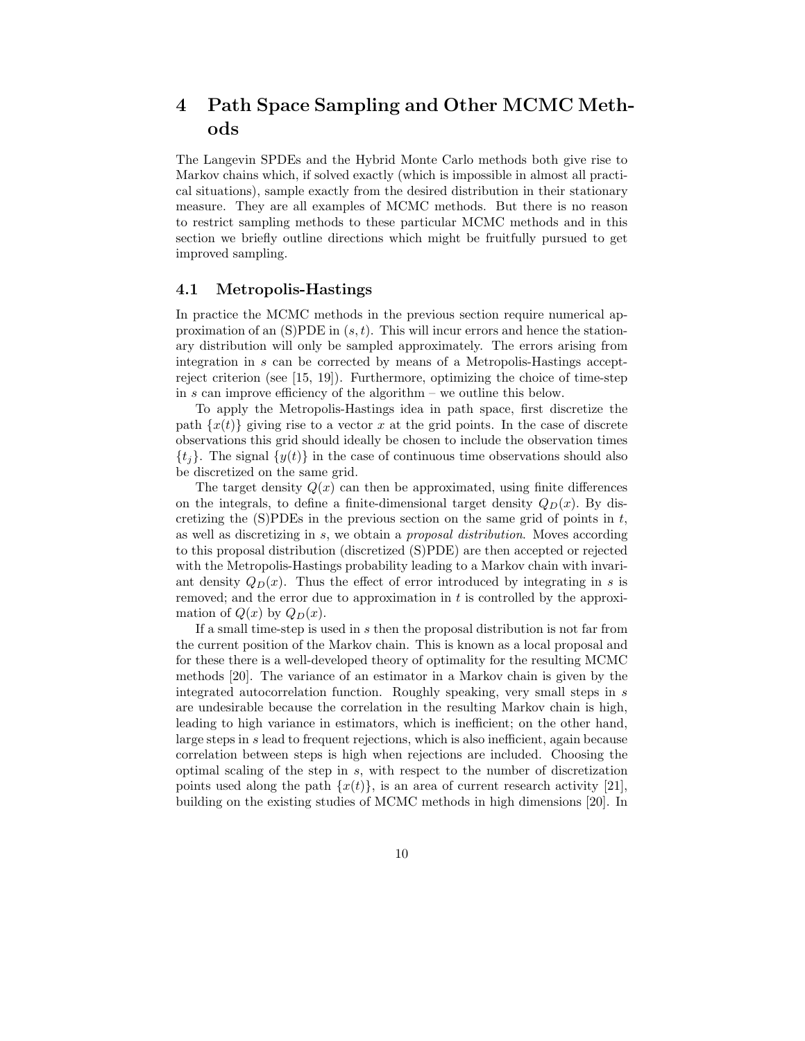# 4 Path Space Sampling and Other MCMC Methods

The Langevin SPDEs and the Hybrid Monte Carlo methods both give rise to Markov chains which, if solved exactly (which is impossible in almost all practical situations), sample exactly from the desired distribution in their stationary measure. They are all examples of MCMC methods. But there is no reason to restrict sampling methods to these particular MCMC methods and in this section we briefly outline directions which might be fruitfully pursued to get improved sampling.

#### 4.1 Metropolis-Hastings

In practice the MCMC methods in the previous section require numerical approximation of an  $(S)PDE$  in  $(s,t)$ . This will incur errors and hence the stationary distribution will only be sampled approximately. The errors arising from integration in s can be corrected by means of a Metropolis-Hastings acceptreject criterion (see [15, 19]). Furthermore, optimizing the choice of time-step in s can improve efficiency of the algorithm – we outline this below.

To apply the Metropolis-Hastings idea in path space, first discretize the path  $\{x(t)\}\$  giving rise to a vector x at the grid points. In the case of discrete observations this grid should ideally be chosen to include the observation times  $\{t_i\}$ . The signal  $\{y(t)\}$  in the case of continuous time observations should also be discretized on the same grid.

The target density  $Q(x)$  can then be approximated, using finite differences on the integrals, to define a finite-dimensional target density  $Q_D(x)$ . By discretizing the  $(S)$ PDEs in the previous section on the same grid of points in t, as well as discretizing in s, we obtain a proposal distribution. Moves according to this proposal distribution (discretized (S)PDE) are then accepted or rejected with the Metropolis-Hastings probability leading to a Markov chain with invariant density  $Q_D(x)$ . Thus the effect of error introduced by integrating in s is removed; and the error due to approximation in  $t$  is controlled by the approximation of  $Q(x)$  by  $Q_D(x)$ .

If a small time-step is used in s then the proposal distribution is not far from the current position of the Markov chain. This is known as a local proposal and for these there is a well-developed theory of optimality for the resulting MCMC methods [20]. The variance of an estimator in a Markov chain is given by the integrated autocorrelation function. Roughly speaking, very small steps in s are undesirable because the correlation in the resulting Markov chain is high, leading to high variance in estimators, which is inefficient; on the other hand, large steps in s lead to frequent rejections, which is also inefficient, again because correlation between steps is high when rejections are included. Choosing the optimal scaling of the step in s, with respect to the number of discretization points used along the path  $\{x(t)\}\$ , is an area of current research activity [21], building on the existing studies of MCMC methods in high dimensions [20]. In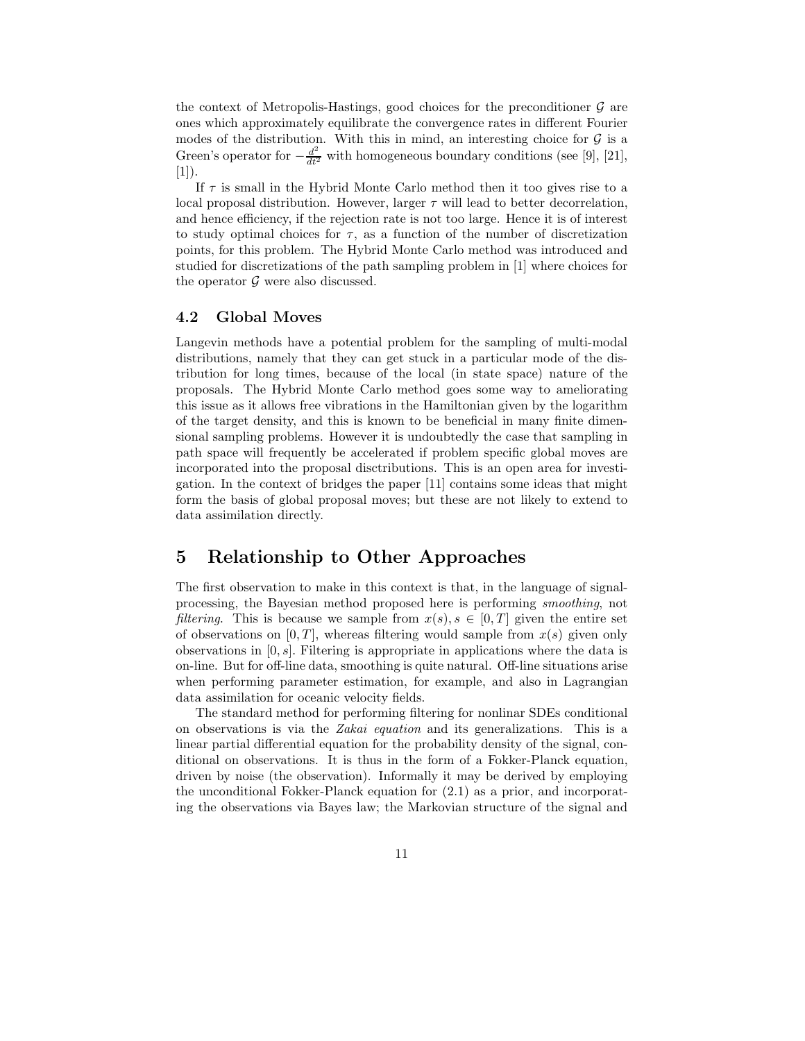the context of Metropolis-Hastings, good choices for the preconditioner  $\mathcal G$  are ones which approximately equilibrate the convergence rates in different Fourier modes of the distribution. With this in mind, an interesting choice for  $G$  is a Green's operator for  $-\frac{d^2}{dt^2}$  with homogeneous boundary conditions (see [9], [21],  $[1]$ .

If  $\tau$  is small in the Hybrid Monte Carlo method then it too gives rise to a local proposal distribution. However, larger  $\tau$  will lead to better decorrelation, and hence efficiency, if the rejection rate is not too large. Hence it is of interest to study optimal choices for  $\tau$ , as a function of the number of discretization points, for this problem. The Hybrid Monte Carlo method was introduced and studied for discretizations of the path sampling problem in [1] where choices for the operator  $\mathcal G$  were also discussed.

## 4.2 Global Moves

Langevin methods have a potential problem for the sampling of multi-modal distributions, namely that they can get stuck in a particular mode of the distribution for long times, because of the local (in state space) nature of the proposals. The Hybrid Monte Carlo method goes some way to ameliorating this issue as it allows free vibrations in the Hamiltonian given by the logarithm of the target density, and this is known to be beneficial in many finite dimensional sampling problems. However it is undoubtedly the case that sampling in path space will frequently be accelerated if problem specific global moves are incorporated into the proposal disctributions. This is an open area for investigation. In the context of bridges the paper [11] contains some ideas that might form the basis of global proposal moves; but these are not likely to extend to data assimilation directly.

# 5 Relationship to Other Approaches

The first observation to make in this context is that, in the language of signalprocessing, the Bayesian method proposed here is performing smoothing, not *filtering.* This is because we sample from  $x(s), s \in [0, T]$  given the entire set of observations on [0, T], whereas filtering would sample from  $x(s)$  given only observations in  $[0, s]$ . Filtering is appropriate in applications where the data is on-line. But for off-line data, smoothing is quite natural. Off-line situations arise when performing parameter estimation, for example, and also in Lagrangian data assimilation for oceanic velocity fields.

The standard method for performing filtering for nonlinar SDEs conditional on observations is via the Zakai equation and its generalizations. This is a linear partial differential equation for the probability density of the signal, conditional on observations. It is thus in the form of a Fokker-Planck equation, driven by noise (the observation). Informally it may be derived by employing the unconditional Fokker-Planck equation for (2.1) as a prior, and incorporating the observations via Bayes law; the Markovian structure of the signal and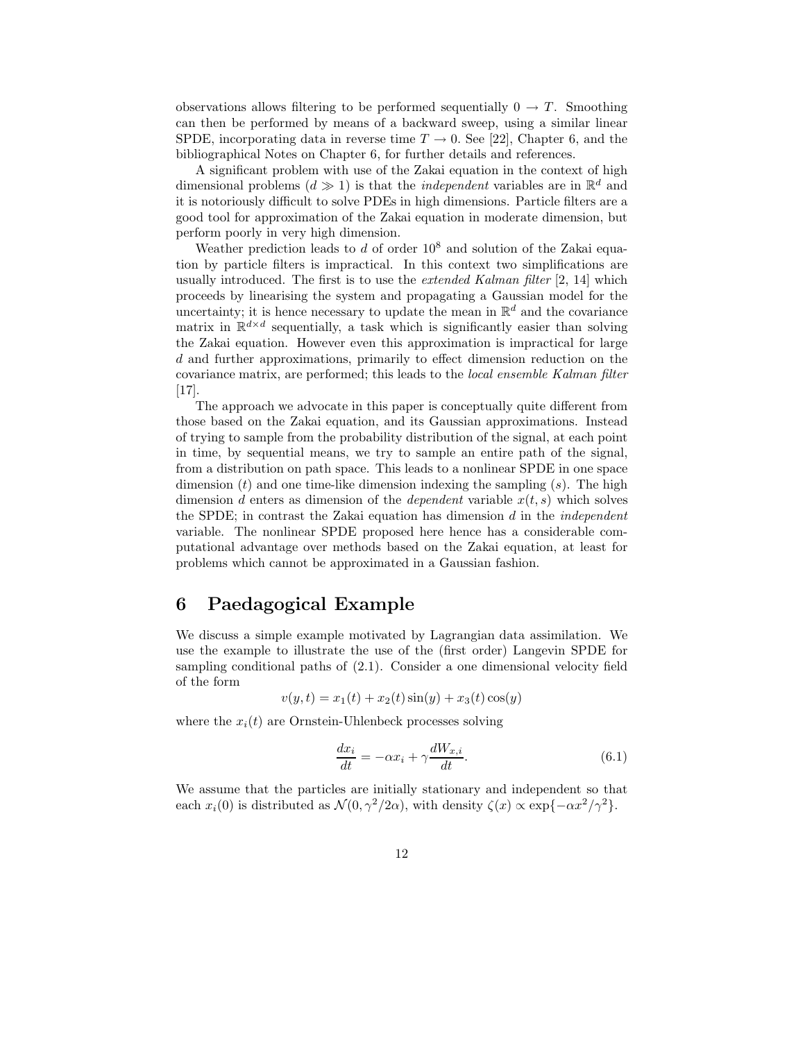observations allows filtering to be performed sequentially  $0 \rightarrow T$ . Smoothing can then be performed by means of a backward sweep, using a similar linear SPDE, incorporating data in reverse time  $T \to 0$ . See [22], Chapter 6, and the bibliographical Notes on Chapter 6, for further details and references.

A significant problem with use of the Zakai equation in the context of high dimensional problems  $(d \gg 1)$  is that the *independent* variables are in  $\mathbb{R}^d$  and it is notoriously difficult to solve PDEs in high dimensions. Particle filters are a good tool for approximation of the Zakai equation in moderate dimension, but perform poorly in very high dimension.

Weather prediction leads to  $d$  of order  $10^8$  and solution of the Zakai equation by particle filters is impractical. In this context two simplifications are usually introduced. The first is to use the extended Kalman filter [2, 14] which proceeds by linearising the system and propagating a Gaussian model for the uncertainty; it is hence necessary to update the mean in  $\mathbb{R}^d$  and the covariance matrix in  $\mathbb{R}^{d \times d}$  sequentially, a task which is significantly easier than solving the Zakai equation. However even this approximation is impractical for large d and further approximations, primarily to effect dimension reduction on the covariance matrix, are performed; this leads to the local ensemble Kalman filter [17].

The approach we advocate in this paper is conceptually quite different from those based on the Zakai equation, and its Gaussian approximations. Instead of trying to sample from the probability distribution of the signal, at each point in time, by sequential means, we try to sample an entire path of the signal, from a distribution on path space. This leads to a nonlinear SPDE in one space dimension  $(t)$  and one time-like dimension indexing the sampling  $(s)$ . The high dimension d enters as dimension of the dependent variable  $x(t, s)$  which solves the SPDE; in contrast the Zakai equation has dimension  $d$  in the *independent* variable. The nonlinear SPDE proposed here hence has a considerable computational advantage over methods based on the Zakai equation, at least for problems which cannot be approximated in a Gaussian fashion.

# 6 Paedagogical Example

We discuss a simple example motivated by Lagrangian data assimilation. We use the example to illustrate the use of the (first order) Langevin SPDE for sampling conditional paths of (2.1). Consider a one dimensional velocity field of the form

$$
v(y,t) = x_1(t) + x_2(t)\sin(y) + x_3(t)\cos(y)
$$

where the  $x_i(t)$  are Ornstein-Uhlenbeck processes solving

$$
\frac{dx_i}{dt} = -\alpha x_i + \gamma \frac{dW_{x,i}}{dt}.\tag{6.1}
$$

We assume that the particles are initially stationary and independent so that each  $x_i(0)$  is distributed as  $\mathcal{N}(0, \gamma^2/2\alpha)$ , with density  $\zeta(x) \propto \exp\{-\alpha x^2/\gamma^2\}$ .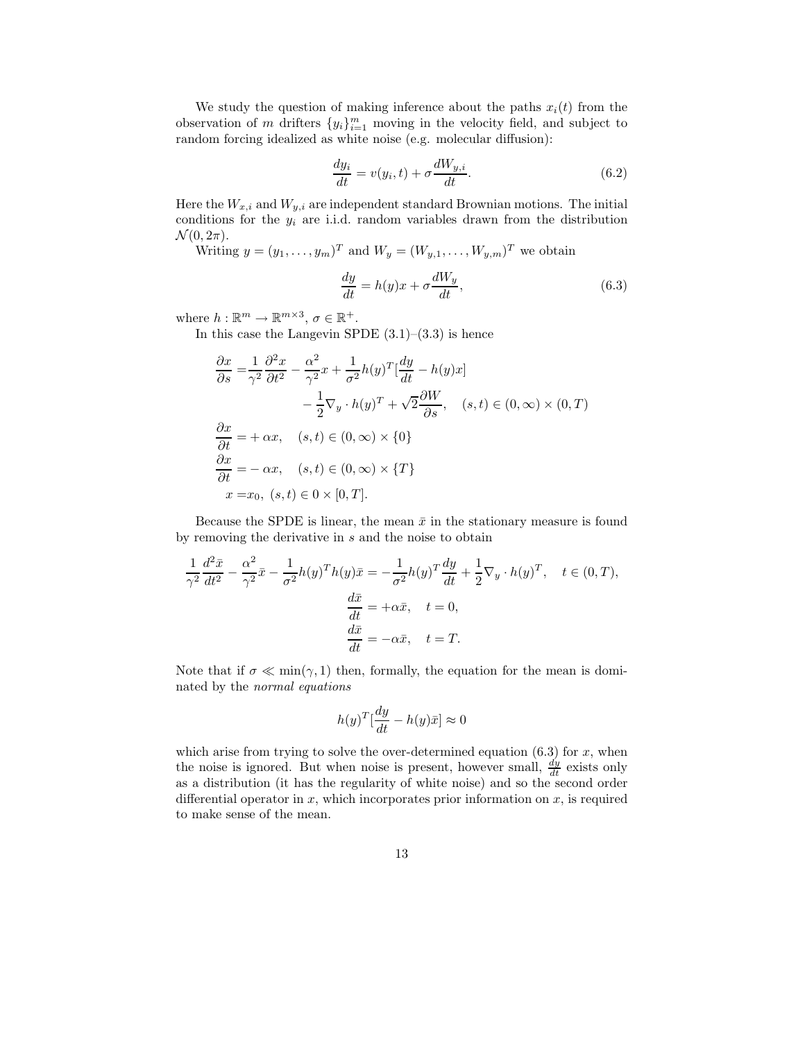We study the question of making inference about the paths  $x_i(t)$  from the observation of m drifters  $\{y_i\}_{i=1}^m$  moving in the velocity field, and subject to random forcing idealized as white noise (e.g. molecular diffusion):

$$
\frac{dy_i}{dt} = v(y_i, t) + \sigma \frac{dW_{y,i}}{dt}.
$$
\n(6.2)

Here the  $W_{x,i}$  and  $W_{y,i}$  are independent standard Brownian motions. The initial conditions for the  $y_i$  are i.i.d. random variables drawn from the distribution  $\mathcal{N}(0, 2\pi)$ .

Writing  $y = (y_1, \ldots, y_m)^T$  and  $W_y = (W_{y,1}, \ldots, W_{y,m})^T$  we obtain

$$
\frac{dy}{dt} = h(y)x + \sigma \frac{dW_y}{dt},\tag{6.3}
$$

where  $h : \mathbb{R}^m \to \mathbb{R}^{m \times 3}, \sigma \in \mathbb{R}^+$ .

In this case the Langevin SPDE  $(3.1)$ – $(3.3)$  is hence

$$
\frac{\partial x}{\partial s} = \frac{1}{\gamma^2} \frac{\partial^2 x}{\partial t^2} - \frac{\alpha^2}{\gamma^2} x + \frac{1}{\sigma^2} h(y)^T \left[ \frac{dy}{dt} - h(y)x \right]
$$

$$
- \frac{1}{2} \nabla_y \cdot h(y)^T + \sqrt{2} \frac{\partial W}{\partial s}, \quad (s, t) \in (0, \infty) \times (0, T)
$$

$$
\frac{\partial x}{\partial t} = + \alpha x, \quad (s, t) \in (0, \infty) \times \{0\}
$$

$$
\frac{\partial x}{\partial t} = - \alpha x, \quad (s, t) \in (0, \infty) \times \{T\}
$$

$$
x = x_0, \quad (s, t) \in 0 \times [0, T].
$$

Because the SPDE is linear, the mean  $\bar{x}$  in the stationary measure is found by removing the derivative in s and the noise to obtain

$$
\frac{1}{\gamma^2} \frac{d^2 \bar{x}}{dt^2} - \frac{\alpha^2}{\gamma^2} \bar{x} - \frac{1}{\sigma^2} h(y)^T h(y) \bar{x} = -\frac{1}{\sigma^2} h(y)^T \frac{dy}{dt} + \frac{1}{2} \nabla_y \cdot h(y)^T, \quad t \in (0, T),
$$

$$
\frac{d \bar{x}}{dt} = +\alpha \bar{x}, \quad t = 0,
$$

$$
\frac{d \bar{x}}{dt} = -\alpha \bar{x}, \quad t = T.
$$

Note that if  $\sigma \ll \min(\gamma, 1)$  then, formally, the equation for the mean is dominated by the normal equations

$$
h(y)^T \left[\frac{dy}{dt} - h(y)\bar{x}\right] \approx 0
$$

which arise from trying to solve the over-determined equation  $(6.3)$  for x, when the noise is ignored. But when noise is present, however small,  $\frac{dy}{dt}$  exists only as a distribution (it has the regularity of white noise) and so the second order differential operator in  $x$ , which incorporates prior information on  $x$ , is required to make sense of the mean.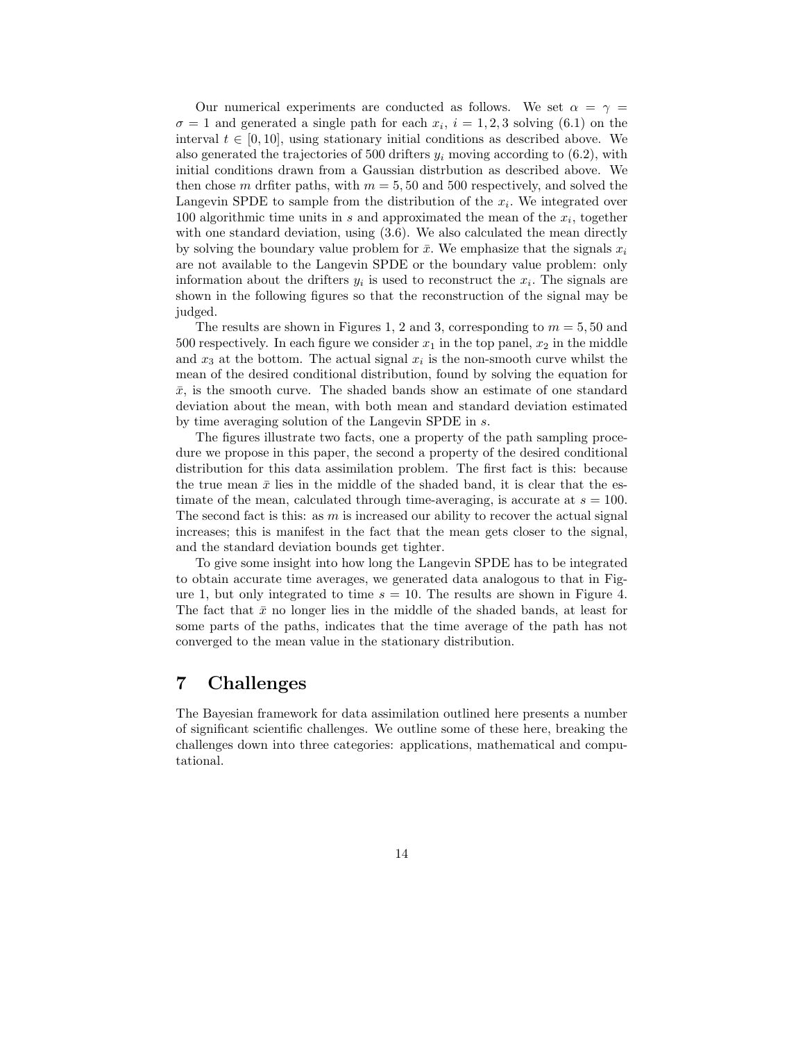Our numerical experiments are conducted as follows. We set  $\alpha = \gamma =$  $\sigma = 1$  and generated a single path for each  $x_i$ ,  $i = 1, 2, 3$  solving (6.1) on the interval  $t \in [0, 10]$ , using stationary initial conditions as described above. We also generated the trajectories of 500 drifters  $y_i$  moving according to (6.2), with initial conditions drawn from a Gaussian distrbution as described above. We then chose m drfiter paths, with  $m = 5, 50$  and 500 respectively, and solved the Langevin SPDE to sample from the distribution of the  $x_i$ . We integrated over 100 algorithmic time units in s and approximated the mean of the  $x_i$ , together with one standard deviation, using  $(3.6)$ . We also calculated the mean directly by solving the boundary value problem for  $\bar{x}$ . We emphasize that the signals  $x_i$ are not available to the Langevin SPDE or the boundary value problem: only information about the drifters  $y_i$  is used to reconstruct the  $x_i$ . The signals are shown in the following figures so that the reconstruction of the signal may be judged.

The results are shown in Figures 1, 2 and 3, corresponding to  $m = 5, 50$  and 500 respectively. In each figure we consider  $x_1$  in the top panel,  $x_2$  in the middle and  $x_3$  at the bottom. The actual signal  $x_i$  is the non-smooth curve whilst the mean of the desired conditional distribution, found by solving the equation for  $\bar{x}$ , is the smooth curve. The shaded bands show an estimate of one standard deviation about the mean, with both mean and standard deviation estimated by time averaging solution of the Langevin SPDE in s.

The figures illustrate two facts, one a property of the path sampling procedure we propose in this paper, the second a property of the desired conditional distribution for this data assimilation problem. The first fact is this: because the true mean  $\bar{x}$  lies in the middle of the shaded band, it is clear that the estimate of the mean, calculated through time-averaging, is accurate at  $s = 100$ . The second fact is this: as  $m$  is increased our ability to recover the actual signal increases; this is manifest in the fact that the mean gets closer to the signal, and the standard deviation bounds get tighter.

To give some insight into how long the Langevin SPDE has to be integrated to obtain accurate time averages, we generated data analogous to that in Figure 1, but only integrated to time  $s = 10$ . The results are shown in Figure 4. The fact that  $\bar{x}$  no longer lies in the middle of the shaded bands, at least for some parts of the paths, indicates that the time average of the path has not converged to the mean value in the stationary distribution.

# 7 Challenges

The Bayesian framework for data assimilation outlined here presents a number of significant scientific challenges. We outline some of these here, breaking the challenges down into three categories: applications, mathematical and computational.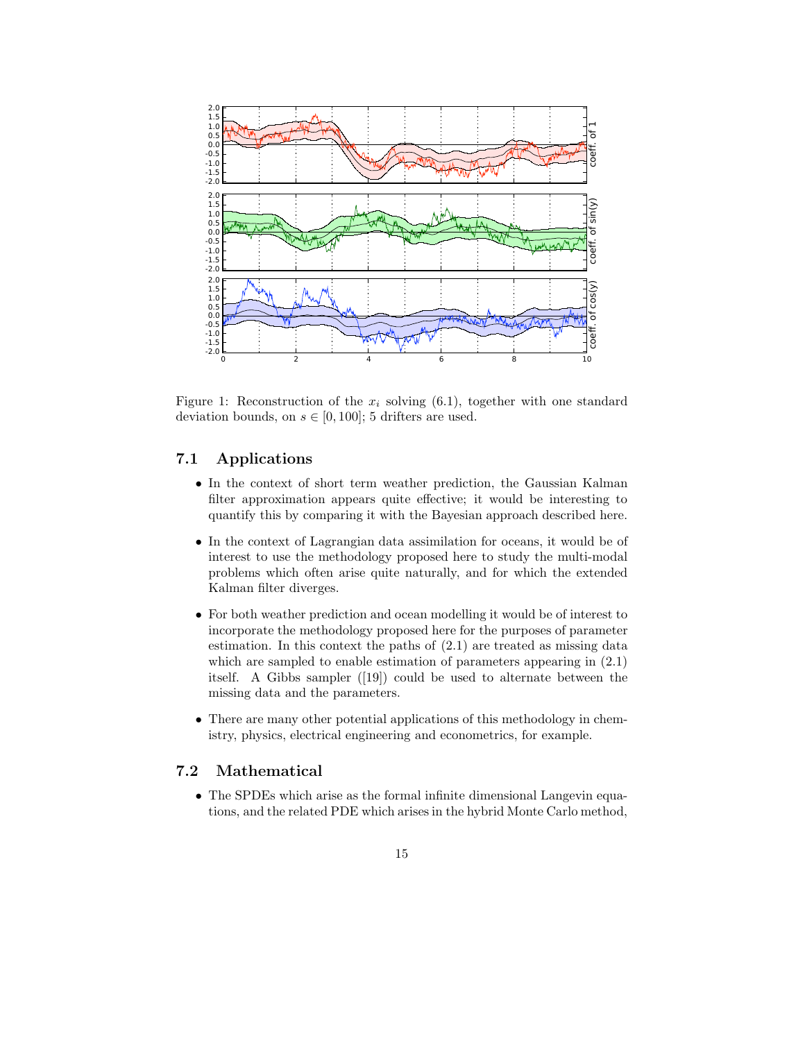

Figure 1: Reconstruction of the  $x_i$  solving (6.1), together with one standard deviation bounds, on  $s \in [0, 100]$ ; 5 drifters are used.

### 7.1 Applications

- In the context of short term weather prediction, the Gaussian Kalman filter approximation appears quite effective; it would be interesting to quantify this by comparing it with the Bayesian approach described here.
- In the context of Lagrangian data assimilation for oceans, it would be of interest to use the methodology proposed here to study the multi-modal problems which often arise quite naturally, and for which the extended Kalman filter diverges.
- For both weather prediction and ocean modelling it would be of interest to incorporate the methodology proposed here for the purposes of parameter estimation. In this context the paths of (2.1) are treated as missing data which are sampled to enable estimation of parameters appearing in (2.1) itself. A Gibbs sampler ([19]) could be used to alternate between the missing data and the parameters.
- There are many other potential applications of this methodology in chemistry, physics, electrical engineering and econometrics, for example.

## 7.2 Mathematical

• The SPDEs which arise as the formal infinite dimensional Langevin equations, and the related PDE which arises in the hybrid Monte Carlo method,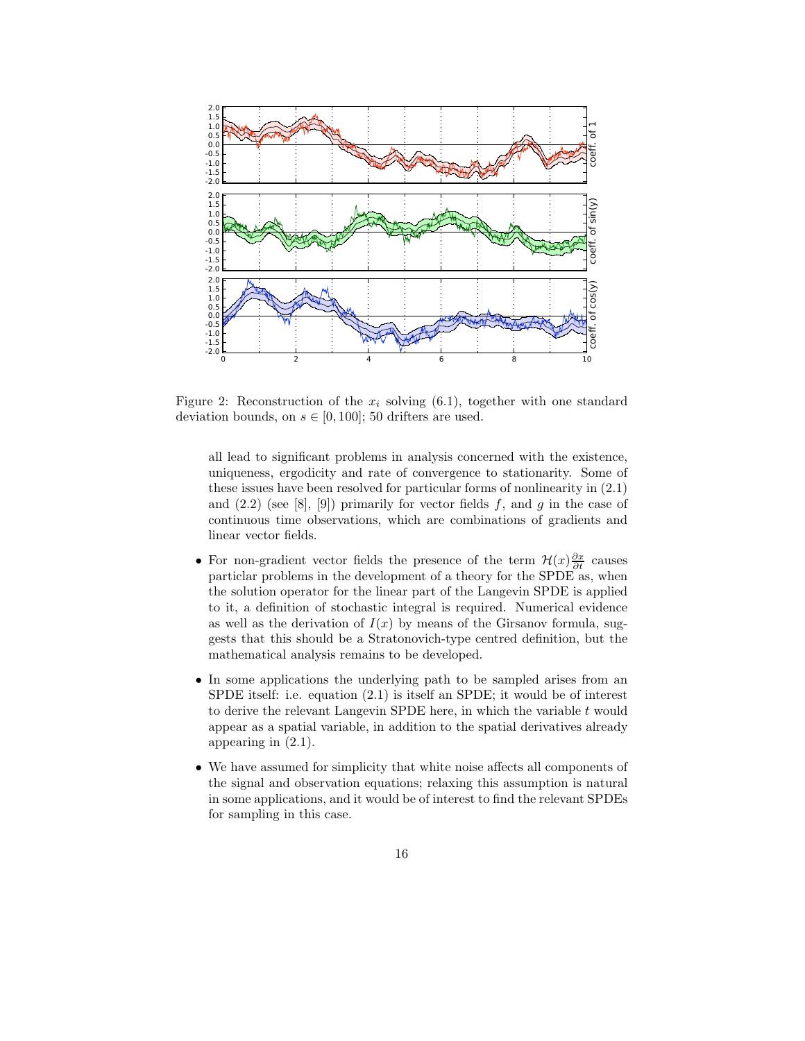

Figure 2: Reconstruction of the  $x_i$  solving (6.1), together with one standard deviation bounds, on  $s \in [0, 100]$ ; 50 drifters are used.

all lead to significant problems in analysis concerned with the existence, uniqueness, ergodicity and rate of convergence to stationarity. Some of these issues have been resolved for particular forms of nonlinearity in (2.1) and  $(2.2)$  (see [8], [9]) primarily for vector fields f, and g in the case of continuous time observations, which are combinations of gradients and linear vector fields.

- For non-gradient vector fields the presence of the term  $\mathcal{H}(x) \frac{\partial x}{\partial t}$  causes particlar problems in the development of a theory for the SPDE as, when the solution operator for the linear part of the Langevin SPDE is applied to it, a definition of stochastic integral is required. Numerical evidence as well as the derivation of  $I(x)$  by means of the Girsanov formula, suggests that this should be a Stratonovich-type centred definition, but the mathematical analysis remains to be developed.
- In some applications the underlying path to be sampled arises from an SPDE itself: i.e. equation (2.1) is itself an SPDE; it would be of interest to derive the relevant Langevin SPDE here, in which the variable  $t$  would appear as a spatial variable, in addition to the spatial derivatives already appearing in (2.1).
- We have assumed for simplicity that white noise affects all components of the signal and observation equations; relaxing this assumption is natural in some applications, and it would be of interest to find the relevant SPDEs for sampling in this case.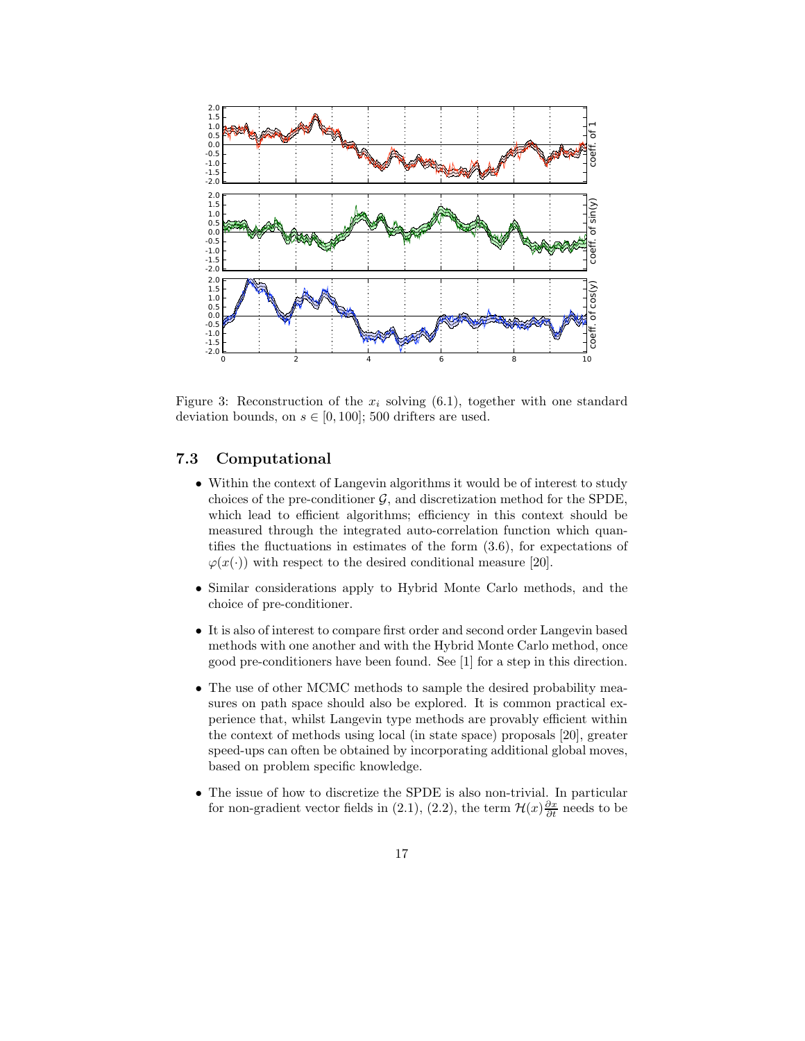

Figure 3: Reconstruction of the  $x_i$  solving (6.1), together with one standard deviation bounds, on  $s \in [0, 100]$ ; 500 drifters are used.

### 7.3 Computational

- Within the context of Langevin algorithms it would be of interest to study choices of the pre-conditioner  $\mathcal{G}$ , and discretization method for the SPDE, which lead to efficient algorithms; efficiency in this context should be measured through the integrated auto-correlation function which quantifies the fluctuations in estimates of the form (3.6), for expectations of  $\varphi(x(\cdot))$  with respect to the desired conditional measure [20].
- Similar considerations apply to Hybrid Monte Carlo methods, and the choice of pre-conditioner.
- It is also of interest to compare first order and second order Langevin based methods with one another and with the Hybrid Monte Carlo method, once good pre-conditioners have been found. See [1] for a step in this direction.
- The use of other MCMC methods to sample the desired probability measures on path space should also be explored. It is common practical experience that, whilst Langevin type methods are provably efficient within the context of methods using local (in state space) proposals [20], greater speed-ups can often be obtained by incorporating additional global moves, based on problem specific knowledge.
- The issue of how to discretize the SPDE is also non-trivial. In particular for non-gradient vector fields in (2.1), (2.2), the term  $\mathcal{H}(x)\frac{\partial x}{\partial t}$  needs to be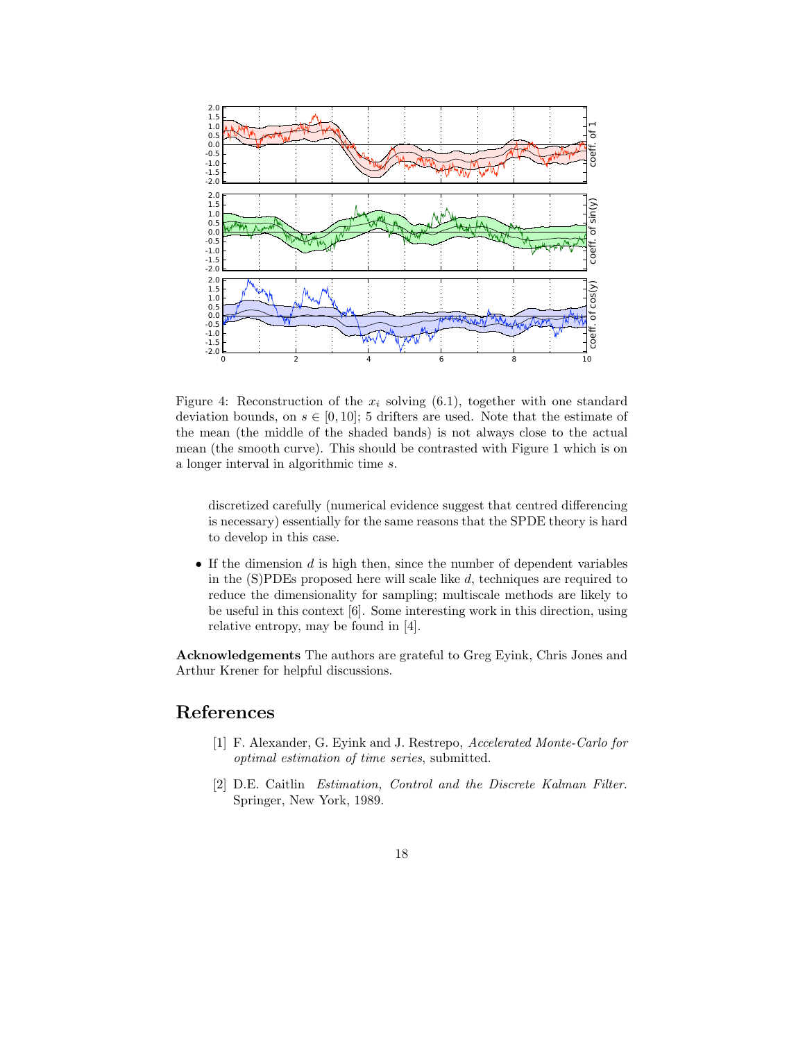

Figure 4: Reconstruction of the  $x_i$  solving (6.1), together with one standard deviation bounds, on  $s \in [0, 10]$ ; 5 drifters are used. Note that the estimate of the mean (the middle of the shaded bands) is not always close to the actual mean (the smooth curve). This should be contrasted with Figure 1 which is on a longer interval in algorithmic time s.

discretized carefully (numerical evidence suggest that centred differencing is necessary) essentially for the same reasons that the SPDE theory is hard to develop in this case.

 $\bullet$  If the dimension  $d$  is high then, since the number of dependent variables in the (S)PDEs proposed here will scale like d, techniques are required to reduce the dimensionality for sampling; multiscale methods are likely to be useful in this context [6]. Some interesting work in this direction, using relative entropy, may be found in [4].

Acknowledgements The authors are grateful to Greg Eyink, Chris Jones and Arthur Krener for helpful discussions.

## References

- [1] F. Alexander, G. Eyink and J. Restrepo, Accelerated Monte-Carlo for optimal estimation of time series, submitted.
- [2] D.E. Caitlin Estimation, Control and the Discrete Kalman Filter. Springer, New York, 1989.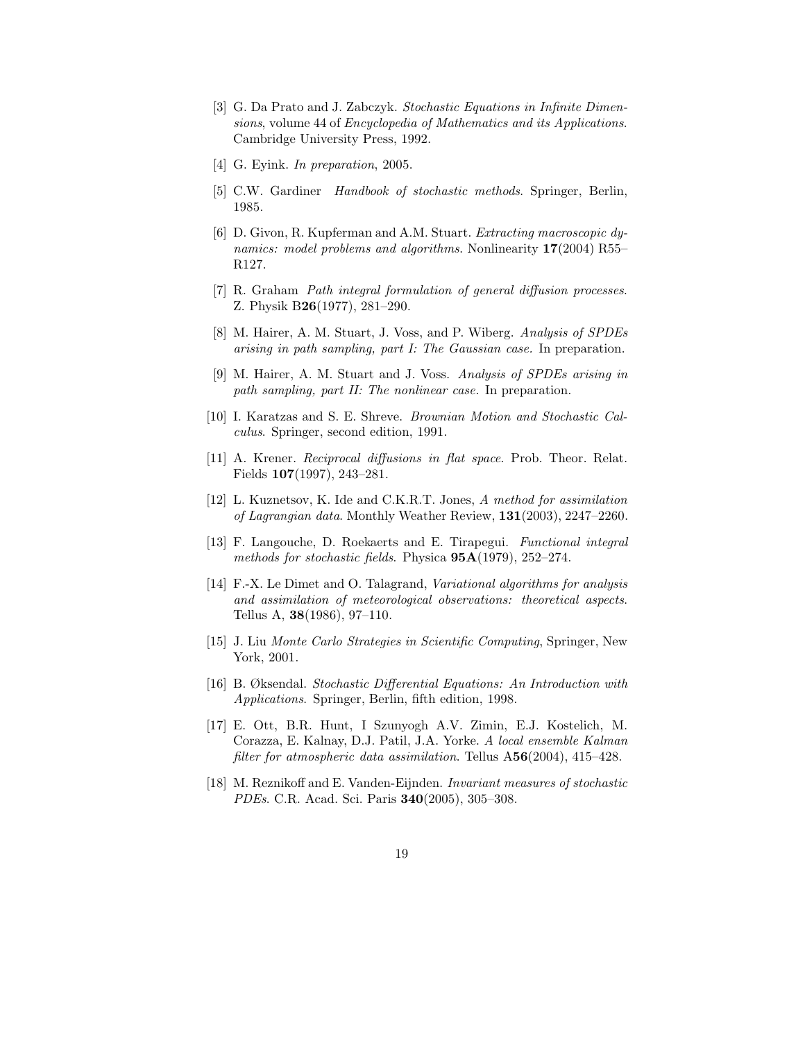- [3] G. Da Prato and J. Zabczyk. Stochastic Equations in Infinite Dimensions, volume 44 of Encyclopedia of Mathematics and its Applications. Cambridge University Press, 1992.
- [4] G. Eyink. In preparation, 2005.
- [5] C.W. Gardiner Handbook of stochastic methods. Springer, Berlin, 1985.
- [6] D. Givon, R. Kupferman and A.M. Stuart. Extracting macroscopic dynamics: model problems and algorithms. Nonlinearity 17(2004) R55– R127.
- [7] R. Graham Path integral formulation of general diffusion processes. Z. Physik B26(1977), 281–290.
- [8] M. Hairer, A. M. Stuart, J. Voss, and P. Wiberg. Analysis of SPDEs arising in path sampling, part I: The Gaussian case. In preparation.
- [9] M. Hairer, A. M. Stuart and J. Voss. Analysis of SPDEs arising in path sampling, part II: The nonlinear case. In preparation.
- [10] I. Karatzas and S. E. Shreve. Brownian Motion and Stochastic Calculus. Springer, second edition, 1991.
- [11] A. Krener. Reciprocal diffusions in flat space. Prob. Theor. Relat. Fields 107(1997), 243–281.
- [12] L. Kuznetsov, K. Ide and C.K.R.T. Jones, A method for assimilation of Lagrangian data. Monthly Weather Review, 131(2003), 2247–2260.
- [13] F. Langouche, D. Roekaerts and E. Tirapegui. Functional integral methods for stochastic fields. Physica  $95A(1979)$ , 252–274.
- [14] F.-X. Le Dimet and O. Talagrand, Variational algorithms for analysis and assimilation of meteorological observations: theoretical aspects. Tellus A, 38(1986), 97–110.
- [15] J. Liu Monte Carlo Strategies in Scientific Computing, Springer, New York, 2001.
- [16] B. Øksendal. Stochastic Differential Equations: An Introduction with Applications. Springer, Berlin, fifth edition, 1998.
- [17] E. Ott, B.R. Hunt, I Szunyogh A.V. Zimin, E.J. Kostelich, M. Corazza, E. Kalnay, D.J. Patil, J.A. Yorke. A local ensemble Kalman filter for atmospheric data assimilation. Tellus A56(2004), 415-428.
- [18] M. Reznikoff and E. Vanden-Eijnden. Invariant measures of stochastic PDEs. C.R. Acad. Sci. Paris 340(2005), 305–308.